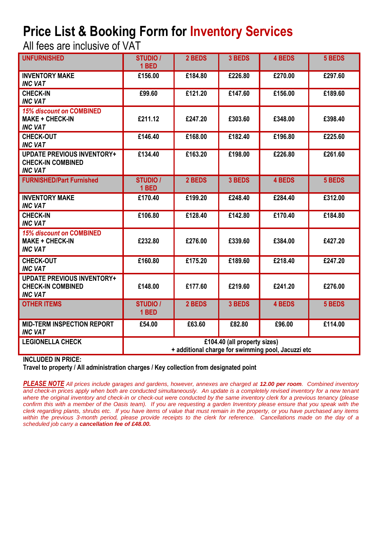## **Price List & Booking Form for Inventory Services**

All fees are inclusive of VAT

| <b>UNFURNISHED</b>                                                              | <b>STUDIO /</b><br>1 BED                                                           | 2 BEDS  | 3 BEDS  | <b>4 BEDS</b> | 5 BEDS  |  |
|---------------------------------------------------------------------------------|------------------------------------------------------------------------------------|---------|---------|---------------|---------|--|
| <b>INVENTORY MAKE</b><br><b>INC VAT</b>                                         | £156.00                                                                            | £184.80 | £226.80 | £270.00       | £297.60 |  |
| <b>CHECK-IN</b><br><b>INC VAT</b>                                               | £99.60                                                                             | £121.20 | £147.60 | £156.00       | £189.60 |  |
| <b>15% discount on COMBINED</b><br><b>MAKE + CHECK-IN</b><br><b>INC VAT</b>     | £211.12                                                                            | £247.20 | £303.60 | £348.00       | £398.40 |  |
| <b>CHECK-OUT</b><br><b>INC VAT</b>                                              | £146.40                                                                            | £168.00 | £182.40 | £196.80       | £225.60 |  |
| <b>UPDATE PREVIOUS INVENTORY+</b><br><b>CHECK-IN COMBINED</b><br><b>INC VAT</b> | £134.40                                                                            | £163.20 | £198.00 | £226.80       | £261.60 |  |
| <b>FURNISHED/Part Furnished</b>                                                 | <b>STUDIO /</b><br>1 BED                                                           | 2 BEDS  | 3 BEDS  | <b>4 BEDS</b> | 5 BEDS  |  |
| <b>INVENTORY MAKE</b><br><b>INC VAT</b>                                         | £170.40                                                                            | £199.20 | £248.40 | £284.40       | £312.00 |  |
| <b>CHECK-IN</b><br><b>INC VAT</b>                                               | £106.80                                                                            | £128.40 | £142.80 | £170.40       | £184.80 |  |
| <b>15% discount on COMBINED</b><br><b>MAKE + CHECK-IN</b><br><b>INC VAT</b>     | £232.80                                                                            | £276.00 | £339.60 | £384.00       | £427.20 |  |
| <b>CHECK-OUT</b><br><b>INC VAT</b>                                              | £160.80                                                                            | £175.20 | £189.60 | £218.40       | £247.20 |  |
| <b>UPDATE PREVIOUS INVENTORY+</b><br><b>CHECK-IN COMBINED</b><br><b>INC VAT</b> | £148.00                                                                            | £177.60 | £219.60 | £241.20       | £276.00 |  |
| <b>OTHER ITEMS</b>                                                              | <b>STUDIO /</b><br>1 BED                                                           | 2 BEDS  | 3 BEDS  | 4 BEDS        | 5 BEDS  |  |
| <b>MID-TERM INSPECTION REPORT</b><br><b>INC VAT</b>                             | £54.00                                                                             | £63.60  | £82.80  | £96.00        | £114.00 |  |
| <b>LEGIONELLA CHECK</b>                                                         | £104.40 (all property sizes)<br>+ additional charge for swimming pool, Jacuzzi etc |         |         |               |         |  |

## **INCLUDED IN PRICE:**

**Travel to property / All administration charges / Key collection from designated point**

*PLEASE NOTE All prices include garages and gardens, however, annexes are charged at 12.00 per room. Combined inventory and check-in prices apply when both are conducted simultaneously. An update is a completely revised inventory for a new tenant where the original inventory and check-in or check-out were conducted by the same inventory clerk for a previous tenancy (please*  confirm this with a member of the Oasis team). If you are requesting a garden Inventory please ensure that you speak with the *clerk regarding plants, shrubs etc. If you have items of value that must remain in the property, or you have purchased any items within the previous 3-month period, please provide receipts to the clerk for reference. Cancellations made on the day of a scheduled job carry a cancellation fee of £48.00.*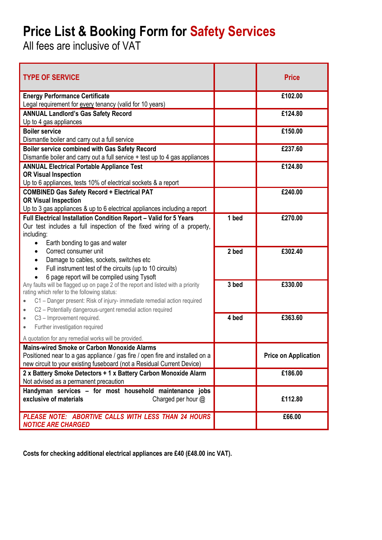## **Price List & Booking Form for Safety Services**

All fees are inclusive of VAT

| <b>TYPE OF SERVICE</b>                                                                                                                                                                                                                                                                     |         | <b>Price</b>                |
|--------------------------------------------------------------------------------------------------------------------------------------------------------------------------------------------------------------------------------------------------------------------------------------------|---------|-----------------------------|
| <b>Energy Performance Certificate</b><br>Legal requirement for every tenancy (valid for 10 years)                                                                                                                                                                                          |         | £102.00                     |
| <b>ANNUAL Landlord's Gas Safety Record</b><br>Up to 4 gas appliances                                                                                                                                                                                                                       |         | £124.80                     |
| <b>Boiler service</b><br>Dismantle boiler and carry out a full service                                                                                                                                                                                                                     |         | £150.00                     |
| Boiler service combined with Gas Safety Record<br>Dismantle boiler and carry out a full service + test up to 4 gas appliances                                                                                                                                                              |         | £237.60                     |
| <b>ANNUAL Electrical Portable Appliance Test</b><br><b>OR Visual Inspection</b><br>Up to 6 appliances, tests 10% of electrical sockets & a report                                                                                                                                          |         | £124.80                     |
| <b>COMBINED Gas Safety Record + Electrical PAT</b><br><b>OR Visual Inspection</b><br>Up to 3 gas appliances & up to 6 electrical appliances including a report                                                                                                                             |         | £240.00                     |
| Full Electrical Installation Condition Report - Valid for 5 Years<br>Our test includes a full inspection of the fixed wiring of a property,<br>including:<br>Earth bonding to gas and water                                                                                                | $1$ bed | £270.00                     |
| Correct consumer unit<br>Damage to cables, sockets, switches etc<br>$\bullet$<br>Full instrument test of the circuits (up to 10 circuits)<br>6 page report will be compiled using Tysoft                                                                                                   | 2 bed   | £302.40                     |
| Any faults will be flagged up on page 2 of the report and listed with a priority<br>rating which refer to the following status:<br>C1 - Danger present: Risk of injury- immediate remedial action required<br>$\bullet$<br>C2 - Potentially dangerous-urgent remedial action required<br>۰ | 3 bed   | £330.00                     |
| C3 - Improvement required.<br>۰<br>Further investigation required<br>$\bullet$                                                                                                                                                                                                             | 4 bed   | £363.60                     |
| A quotation for any remedial works will be provided.<br><b>Mains-wired Smoke or Carbon Monoxide Alarms</b><br>Positioned near to a gas appliance / gas fire / open fire and installed on a<br>new circuit to your existing fuseboard (not a Residual Current Device)                       |         | <b>Price on Application</b> |
| 2 x Battery Smoke Detectors + 1 x Battery Carbon Monoxide Alarm<br>Not advised as a permanent precaution                                                                                                                                                                                   |         | £186.00                     |
| Handyman services - for most household maintenance jobs<br>exclusive of materials<br>Charged per hour $@$                                                                                                                                                                                  |         | £112.80                     |
| PLEASE NOTE: ABORTIVE CALLS WITH LESS THAN 24 HOURS<br><b>NOTICE ARE CHARGED</b>                                                                                                                                                                                                           |         | £66.00                      |

**Costs for checking additional electrical appliances are £40 (£48.00 inc VAT).**